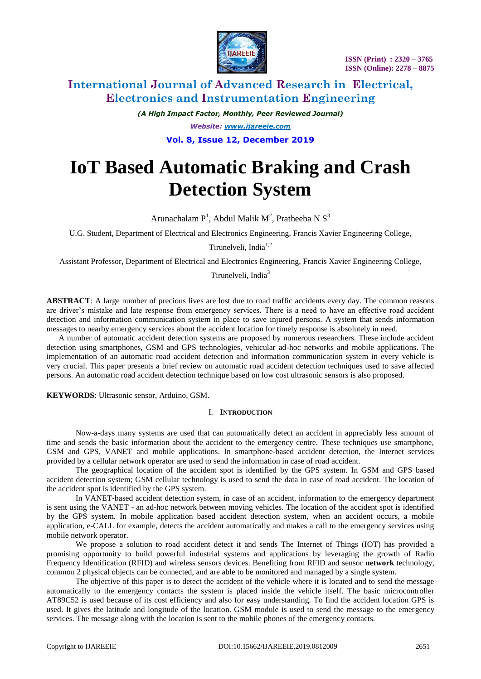

# **International Journal of Advanced Research in Electrical, Electronics and Instrumentation Engineering**

*(A High Impact Factor, Monthly, Peer Reviewed Journal) Website: [www.ijareeie.com](http://www.ijareeie.com/)* **Vol. 8, Issue 12, December 2019**

# **IoT Based Automatic Braking and Crash Detection System**

Arunachalam  $P<sup>1</sup>$ , Abdul Malik M<sup>2</sup>, Pratheeba N S<sup>3</sup>

U.G. Student, Department of Electrical and Electronics Engineering, Francis Xavier Engineering College,

Tirunelveli, India $1,2$ 

Assistant Professor, Department of Electrical and Electronics Engineering, Francis Xavier Engineering College,

Tirunelveli, India<sup>3</sup>

**ABSTRACT**: A large number of precious lives are lost due to road traffic accidents every day. The common reasons are driver's mistake and late response from emergency services. There is a need to have an effective road accident detection and information communication system in place to save injured persons. A system that sends information messages to nearby emergency services about the accident location for timely response is absolutely in need.

 A number of automatic accident detection systems are proposed by numerous researchers. These include accident detection using smartphones, GSM and GPS technologies, vehicular ad-hoc networks and mobile applications. The implementation of an automatic road accident detection and information communication system in every vehicle is very crucial. This paper presents a brief review on automatic road accident detection techniques used to save affected persons. An automatic road accident detection technique based on low cost ultrasonic sensors is also proposed.

**KEYWORDS**: Ultrasonic sensor, Arduino, GSM.

### I. **INTRODUCTION**

Now-a-days many systems are used that can automatically detect an accident in appreciably less amount of time and sends the basic information about the accident to the emergency centre. These techniques use smartphone, GSM and GPS, VANET and mobile applications. In smartphone-based accident detection, the Internet services provided by a cellular network operator are used to send the information in case of road accident.

The geographical location of the accident spot is identified by the GPS system. In GSM and GPS based accident detection system; GSM cellular technology is used to send the data in case of road accident. The location of the accident spot is identified by the GPS system.

In VANET-based accident detection system, in case of an accident, information to the emergency department is sent using the VANET - an ad-hoc network between moving vehicles. The location of the accident spot is identified by the GPS system. In mobile application based accident detection system, when an accident occurs, a mobile application, e-CALL for example, detects the accident automatically and makes a call to the emergency services using mobile network operator.

We propose a solution to road accident detect it and sends The Internet of Things (IOT) has provided a promising opportunity to build powerful industrial systems and applications by leveraging the growth of Radio Frequency Identification (RFID) and wireless sensors devices. Benefiting from RFID and sensor **network** technology, common 2 physical objects can be connected, and are able to be monitored and managed by a single system.

The objective of this paper is to detect the accident of the vehicle where it is located and to send the message automatically to the emergency contacts the system is placed inside the vehicle itself. The basic microcontroller AT89C52 is used because of its cost efficiency and also for easy understanding. To find the accident location GPS is used. It gives the latitude and longitude of the location. GSM module is used to send the message to the emergency services. The message along with the location is sent to the mobile phones of the emergency contacts.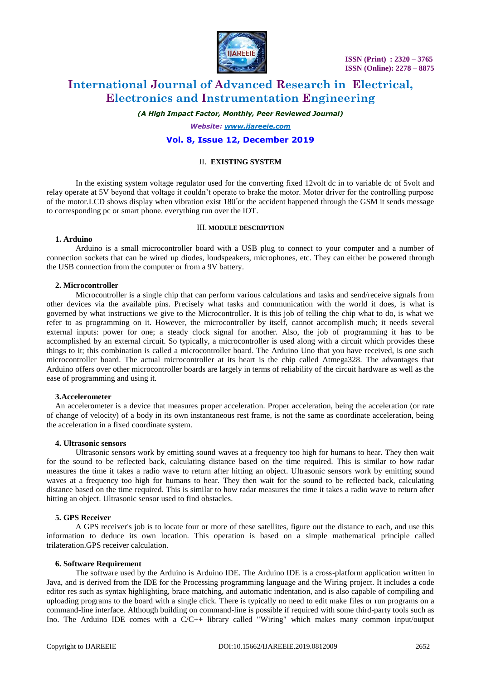

# **International Journal of Advanced Research in Electrical, Electronics and Instrumentation Engineering**

*(A High Impact Factor, Monthly, Peer Reviewed Journal)*

*Website: [www.ijareeie.com](http://www.ijareeie.com/)* **Vol. 8, Issue 12, December 2019**

### II. **EXISTING SYSTEM**

In the existing system voltage regulator used for the converting fixed 12volt dc in to variable dc of 5volt and relay operate at 5V beyond that voltage it couldn't operate to brake the motor. Motor driver for the controlling purpose of the motor. LCD shows display when vibration exist 180° or the accident happened through the GSM it sends message to corresponding pc or smart phone. everything run over the IOT.

#### III. **MODULE DESCRIPTION**

#### **1. Arduino**

Arduino is a small microcontroller board with a USB plug to connect to your computer and a number of connection sockets that can be wired up diodes, loudspeakers, microphones, etc. They can either be powered through the USB connection from the computer or from a 9V battery.

#### **2. Microcontroller**

Microcontroller is a single chip that can perform various calculations and tasks and send/receive signals from other devices via the available pins. Precisely what tasks and communication with the world it does, is what is governed by what instructions we give to the Microcontroller. It is this job of telling the chip what to do, is what we refer to as programming on it. However, the microcontroller by itself, cannot accomplish much; it needs several external inputs: power for one; a steady clock signal for another. Also, the job of programming it has to be accomplished by an external circuit. So typically, a microcontroller is used along with a circuit which provides these things to it; this combination is called a microcontroller board. The Arduino Uno that you have received, is one such microcontroller board. The actual microcontroller at its heart is the chip called Atmega328. The advantages that Arduino offers over other microcontroller boards are largely in terms of reliability of the circuit hardware as well as the ease of programming and using it.

#### **3.Accelerometer**

An accelerometer is a device that measures proper acceleration. Proper acceleration, being the acceleration (or rate of change of velocity) of a body in its own instantaneous rest frame, is not the same as coordinate acceleration, being the acceleration in a fixed coordinate system.

#### **4. Ultrasonic sensors**

Ultrasonic sensors work by emitting sound waves at a frequency too high for humans to hear. They then wait for the sound to be reflected back, calculating distance based on the time required. This is similar to how radar measures the time it takes a radio wave to return after hitting an object. Ultrasonic sensors work by emitting sound waves at a frequency too high for humans to hear. They then wait for the sound to be reflected back, calculating distance based on the time required. This is similar to how radar measures the time it takes a radio wave to return after hitting an object. Ultrasonic sensor used to find obstacles.

## **5. GPS Receiver**

A GPS receiver's job is to locate four or more of these satellites, figure out the distance to each, and use this information to deduce its own location. This operation is based on a simple mathematical principle called trilateration.GPS receiver calculation.

#### **6. Software Requirement**

The software used by the Arduino is Arduino IDE. The Arduino IDE is a cross-platform application written in Java, and is derived from the IDE for the Processing programming language and the Wiring project. It includes a code editor res such as syntax highlighting, brace matching, and automatic indentation, and is also capable of compiling and uploading programs to the board with a single click. There is typically no need to edit make files or run programs on a command-line interface. Although building on command-line is possible if required with some third-party tools such as Ino. The Arduino IDE comes with a C/C++ library called "Wiring" which makes many common input/output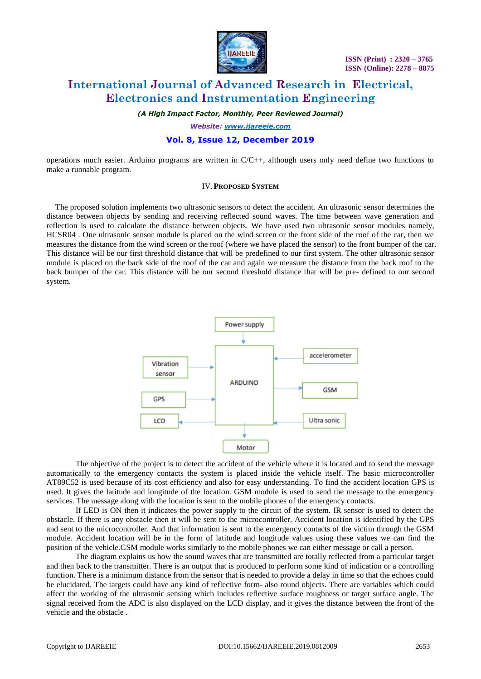

# **International Journal of Advanced Research in Electrical, Electronics and Instrumentation Engineering**

*(A High Impact Factor, Monthly, Peer Reviewed Journal)*

*Website: [www.ijareeie.com](http://www.ijareeie.com/)*

### **Vol. 8, Issue 12, December 2019**

operations much easier. Arduino programs are written in C/C++, although users only need define two functions to make a runnable program.

#### IV.**PROPOSED SYSTEM**

The proposed solution implements two ultrasonic sensors to detect the accident. An ultrasonic sensor determines the distance between objects by sending and receiving reflected sound waves. The time between wave generation and reflection is used to calculate the distance between objects. We have used two ultrasonic sensor modules namely, HCSR04 . One ultrasonic sensor module is placed on the wind screen or the front side of the roof of the car, then we measures the distance from the wind screen or the roof (where we have placed the sensor) to the front bumper of the car. This distance will be our first threshold distance that will be predefined to our first system. The other ultrasonic sensor module is placed on the back side of the roof of the car and again we measure the distance from the back roof to the back bumper of the car. This distance will be our second threshold distance that will be pre- defined to our second system.



The objective of the project is to detect the accident of the vehicle where it is located and to send the message automatically to the emergency contacts the system is placed inside the vehicle itself. The basic microcontroller AT89C52 is used because of its cost efficiency and also for easy understanding. To find the accident location GPS is used. It gives the latitude and longitude of the location. GSM module is used to send the message to the emergency services. The message along with the location is sent to the mobile phones of the emergency contacts.

If LED is ON then it indicates the power supply to the circuit of the system. IR sensor is used to detect the obstacle. If there is any obstacle then it will be sent to the microcontroller. Accident location is identified by the GPS and sent to the microcontroller. And that information is sent to the emergency contacts of the victim through the GSM module. Accident location will be in the form of latitude and longitude values using these values we can find the position of the vehicle.GSM module works similarly to the mobile phones we can either message or call a person.

The diagram explains us how the sound waves that are transmitted are totally reflected from a particular target and then back to the transmitter. There is an output that is produced to perform some kind of indication or a controlling function. There is a minimum distance from the sensor that is needed to provide a delay in time so that the echoes could be elucidated. The targets could have any kind of reflective form- also round objects. There are variables which could affect the working of the ultrasonic sensing which includes reflective surface roughness or target surface angle. The signal received from the ADC is also displayed on the LCD display, and it gives the distance between the front of the vehicle and the obstacle .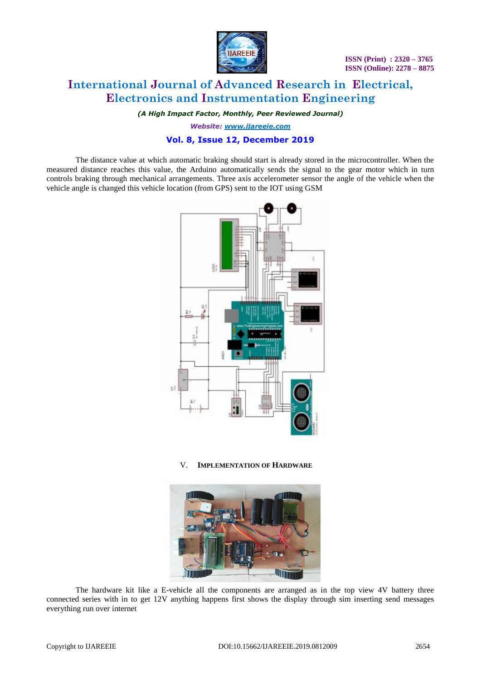

# **International Journal of Advanced Research in Electrical, Electronics and Instrumentation Engineering**

*(A High Impact Factor, Monthly, Peer Reviewed Journal)*

*Website: [www.ijareeie.com](http://www.ijareeie.com/)*

### **Vol. 8, Issue 12, December 2019**

The distance value at which automatic braking should start is already stored in the microcontroller. When the measured distance reaches this value, the Arduino automatically sends the signal to the gear motor which in turn controls braking through mechanical arrangements. Three axis accelerometer sensor the angle of the vehicle when the vehicle angle is changed this vehicle location (from GPS) sent to the IOT using GSM



V. **IMPLEMENTATION OF HARDWARE**



The hardware kit like a E-vehicle all the components are arranged as in the top view 4V battery three connected series with in to get 12V anything happens first shows the display through sim inserting send messages everything run over internet